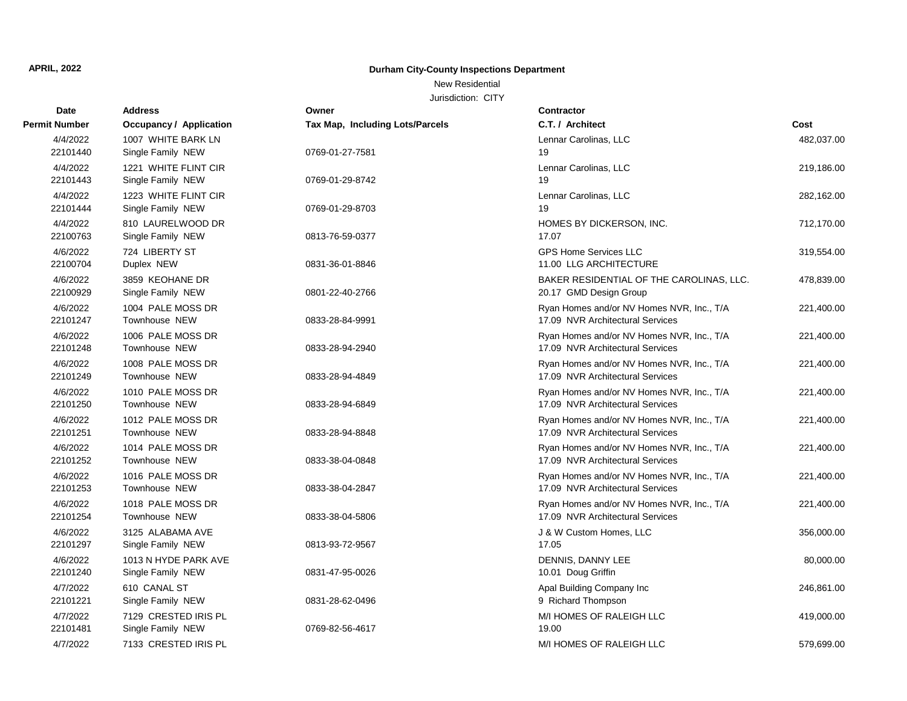New Residential

| <b>Date</b>          | <b>Address</b>                            | Owner                                  | <b>Contractor</b>                                                             |            |
|----------------------|-------------------------------------------|----------------------------------------|-------------------------------------------------------------------------------|------------|
| <b>Permit Number</b> | <b>Occupancy / Application</b>            | <b>Tax Map, Including Lots/Parcels</b> | C.T. / Architect                                                              | Cost       |
| 4/4/2022<br>22101440 | 1007 WHITE BARK LN<br>Single Family NEW   | 0769-01-27-7581                        | Lennar Carolinas, LLC<br>19                                                   | 482,037.00 |
| 4/4/2022<br>22101443 | 1221 WHITE FLINT CIR<br>Single Family NEW | 0769-01-29-8742                        | Lennar Carolinas, LLC<br>19                                                   | 219,186.00 |
| 4/4/2022<br>22101444 | 1223 WHITE FLINT CIR<br>Single Family NEW | 0769-01-29-8703                        | Lennar Carolinas, LLC<br>19                                                   | 282,162.00 |
| 4/4/2022<br>22100763 | 810 LAURELWOOD DR<br>Single Family NEW    | 0813-76-59-0377                        | HOMES BY DICKERSON, INC.<br>17.07                                             | 712,170.00 |
| 4/6/2022<br>22100704 | 724 LIBERTY ST<br>Duplex NEW              | 0831-36-01-8846                        | <b>GPS Home Services LLC</b><br>11.00 LLG ARCHITECTURE                        | 319,554.00 |
| 4/6/2022<br>22100929 | 3859 KEOHANE DR<br>Single Family NEW      | 0801-22-40-2766                        | BAKER RESIDENTIAL OF THE CAROLINAS, LLC.<br>20.17 GMD Design Group            | 478,839.00 |
| 4/6/2022<br>22101247 | 1004 PALE MOSS DR<br>Townhouse NEW        | 0833-28-84-9991                        | Ryan Homes and/or NV Homes NVR, Inc., T/A<br>17.09 NVR Architectural Services | 221,400.00 |
| 4/6/2022<br>22101248 | 1006 PALE MOSS DR<br><b>Townhouse NEW</b> | 0833-28-94-2940                        | Ryan Homes and/or NV Homes NVR, Inc., T/A<br>17.09 NVR Architectural Services | 221,400.00 |
| 4/6/2022<br>22101249 | 1008 PALE MOSS DR<br><b>Townhouse NEW</b> | 0833-28-94-4849                        | Ryan Homes and/or NV Homes NVR, Inc., T/A<br>17.09 NVR Architectural Services | 221,400.00 |
| 4/6/2022<br>22101250 | 1010 PALE MOSS DR<br>Townhouse NEW        | 0833-28-94-6849                        | Ryan Homes and/or NV Homes NVR, Inc., T/A<br>17.09 NVR Architectural Services | 221,400.00 |
| 4/6/2022<br>22101251 | 1012 PALE MOSS DR<br><b>Townhouse NEW</b> | 0833-28-94-8848                        | Ryan Homes and/or NV Homes NVR, Inc., T/A<br>17.09 NVR Architectural Services | 221,400.00 |
| 4/6/2022<br>22101252 | 1014 PALE MOSS DR<br>Townhouse NEW        | 0833-38-04-0848                        | Ryan Homes and/or NV Homes NVR, Inc., T/A<br>17.09 NVR Architectural Services | 221,400.00 |
| 4/6/2022<br>22101253 | 1016 PALE MOSS DR<br>Townhouse NEW        | 0833-38-04-2847                        | Ryan Homes and/or NV Homes NVR, Inc., T/A<br>17.09 NVR Architectural Services | 221,400.00 |
| 4/6/2022<br>22101254 | 1018 PALE MOSS DR<br>Townhouse NEW        | 0833-38-04-5806                        | Ryan Homes and/or NV Homes NVR, Inc., T/A<br>17.09 NVR Architectural Services | 221,400.00 |
| 4/6/2022<br>22101297 | 3125 ALABAMA AVE<br>Single Family NEW     | 0813-93-72-9567                        | J & W Custom Homes, LLC<br>17.05                                              | 356,000.00 |
| 4/6/2022<br>22101240 | 1013 N HYDE PARK AVE<br>Single Family NEW | 0831-47-95-0026                        | DENNIS, DANNY LEE<br>10.01 Doug Griffin                                       | 80,000.00  |
| 4/7/2022<br>22101221 | 610 CANAL ST<br>Single Family NEW         | 0831-28-62-0496                        | Apal Building Company Inc<br>9 Richard Thompson                               | 246,861.00 |
| 4/7/2022<br>22101481 | 7129 CRESTED IRIS PL<br>Single Family NEW | 0769-82-56-4617                        | M/I HOMES OF RALEIGH LLC<br>19.00                                             | 419,000.00 |
| 4/7/2022             | 7133 CRESTED IRIS PL                      |                                        | M/I HOMES OF RALEIGH LLC                                                      | 579,699.00 |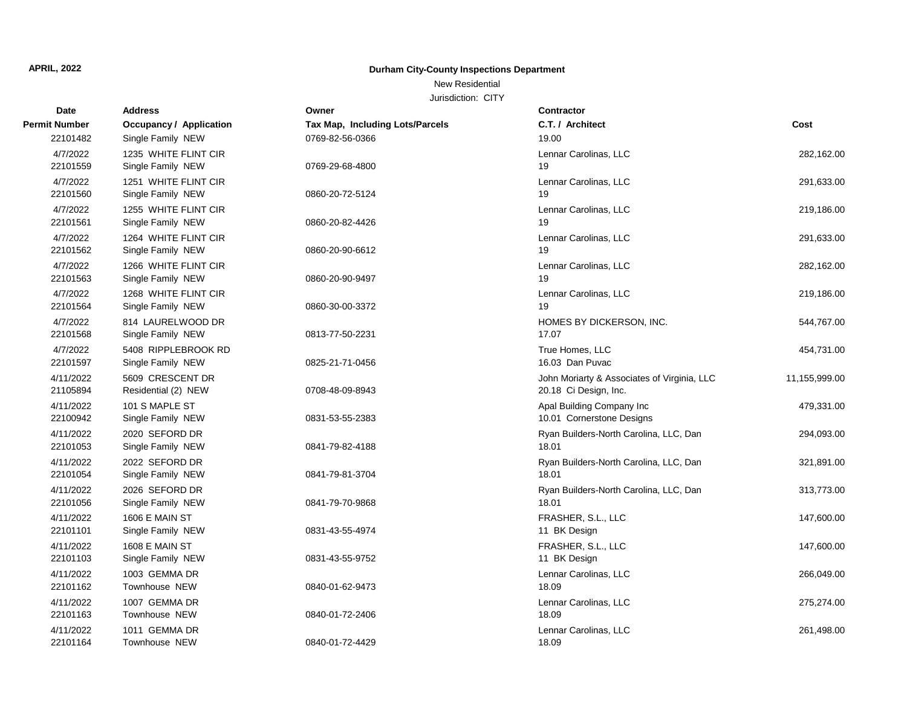### New Residential

| <b>Date</b>           | <b>Address</b>                            | Owner                                  | <b>Contractor</b>                                                    |               |
|-----------------------|-------------------------------------------|----------------------------------------|----------------------------------------------------------------------|---------------|
| <b>Permit Number</b>  | <b>Occupancy / Application</b>            | <b>Tax Map, Including Lots/Parcels</b> | C.T. / Architect                                                     | Cost          |
| 22101482              | Single Family NEW                         | 0769-82-56-0366                        | 19.00                                                                |               |
| 4/7/2022<br>22101559  | 1235 WHITE FLINT CIR<br>Single Family NEW | 0769-29-68-4800                        | Lennar Carolinas, LLC<br>19                                          | 282,162.00    |
| 4/7/2022<br>22101560  | 1251 WHITE FLINT CIR<br>Single Family NEW | 0860-20-72-5124                        | Lennar Carolinas, LLC<br>19                                          | 291,633.00    |
| 4/7/2022<br>22101561  | 1255 WHITE FLINT CIR<br>Single Family NEW | 0860-20-82-4426                        | Lennar Carolinas, LLC<br>19                                          | 219,186.00    |
| 4/7/2022<br>22101562  | 1264 WHITE FLINT CIR<br>Single Family NEW | 0860-20-90-6612                        | Lennar Carolinas, LLC<br>19                                          | 291,633.00    |
| 4/7/2022<br>22101563  | 1266 WHITE FLINT CIR<br>Single Family NEW | 0860-20-90-9497                        | Lennar Carolinas, LLC<br>19                                          | 282,162.00    |
| 4/7/2022<br>22101564  | 1268 WHITE FLINT CIR<br>Single Family NEW | 0860-30-00-3372                        | Lennar Carolinas, LLC<br>19                                          | 219,186.00    |
| 4/7/2022<br>22101568  | 814 LAURELWOOD DR<br>Single Family NEW    | 0813-77-50-2231                        | HOMES BY DICKERSON, INC.<br>17.07                                    | 544,767.00    |
| 4/7/2022<br>22101597  | 5408 RIPPLEBROOK RD<br>Single Family NEW  | 0825-21-71-0456                        | True Homes, LLC<br>16.03 Dan Puvac                                   | 454,731.00    |
| 4/11/2022<br>21105894 | 5609 CRESCENT DR<br>Residential (2) NEW   | 0708-48-09-8943                        | John Moriarty & Associates of Virginia, LLC<br>20.18 Ci Design, Inc. | 11,155,999.00 |
| 4/11/2022<br>22100942 | 101 S MAPLE ST<br>Single Family NEW       | 0831-53-55-2383                        | Apal Building Company Inc<br>10.01 Cornerstone Designs               | 479,331.00    |
| 4/11/2022<br>22101053 | 2020 SEFORD DR<br>Single Family NEW       | 0841-79-82-4188                        | Ryan Builders-North Carolina, LLC, Dan<br>18.01                      | 294,093.00    |
| 4/11/2022<br>22101054 | 2022 SEFORD DR<br>Single Family NEW       | 0841-79-81-3704                        | Ryan Builders-North Carolina, LLC, Dan<br>18.01                      | 321,891.00    |
| 4/11/2022<br>22101056 | 2026 SEFORD DR<br>Single Family NEW       | 0841-79-70-9868                        | Ryan Builders-North Carolina, LLC, Dan<br>18.01                      | 313,773.00    |
| 4/11/2022<br>22101101 | 1606 E MAIN ST<br>Single Family NEW       | 0831-43-55-4974                        | FRASHER, S.L., LLC<br>11 BK Design                                   | 147,600.00    |
| 4/11/2022<br>22101103 | 1608 E MAIN ST<br>Single Family NEW       | 0831-43-55-9752                        | FRASHER, S.L., LLC<br>11 BK Design                                   | 147,600.00    |
| 4/11/2022<br>22101162 | 1003 GEMMA DR<br>Townhouse NEW            | 0840-01-62-9473                        | Lennar Carolinas, LLC<br>18.09                                       | 266,049.00    |
| 4/11/2022<br>22101163 | 1007 GEMMA DR<br>Townhouse NEW            | 0840-01-72-2406                        | Lennar Carolinas, LLC<br>18.09                                       | 275,274.00    |
| 4/11/2022<br>22101164 | 1011 GEMMA DR<br>Townhouse NEW            | 0840-01-72-4429                        | Lennar Carolinas, LLC<br>18.09                                       | 261,498.00    |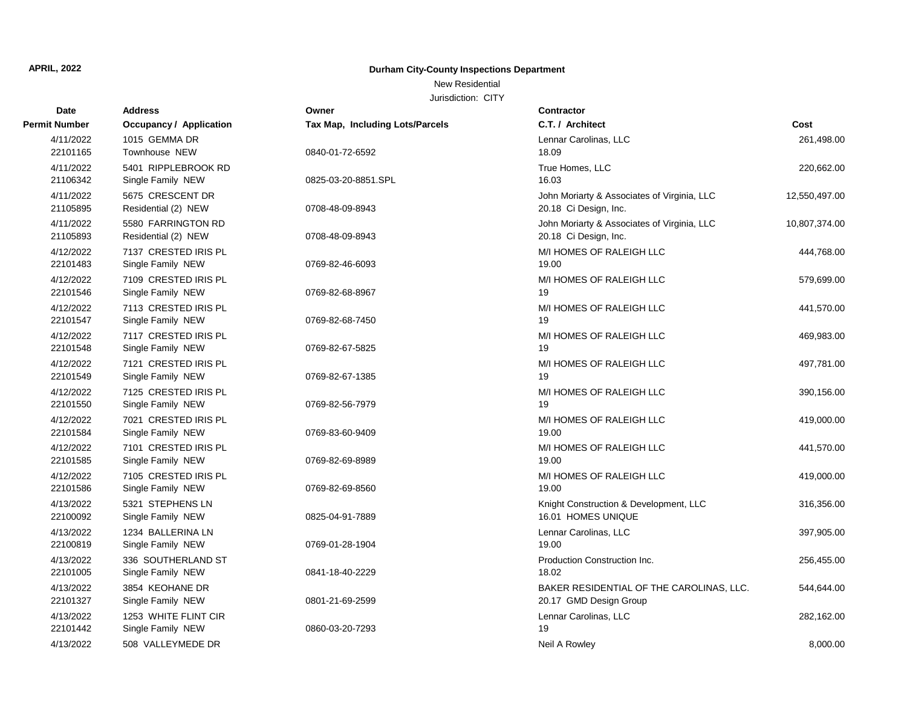### New Residential

| Date                  | <b>Address</b>                            | Owner                           | Contractor                                                           |               |
|-----------------------|-------------------------------------------|---------------------------------|----------------------------------------------------------------------|---------------|
| <b>Permit Number</b>  | <b>Occupancy / Application</b>            | Tax Map, Including Lots/Parcels | C.T. / Architect                                                     | Cost          |
| 4/11/2022<br>22101165 | 1015 GEMMA DR<br>Townhouse NEW            | 0840-01-72-6592                 | Lennar Carolinas, LLC<br>18.09                                       | 261,498.00    |
| 4/11/2022<br>21106342 | 5401 RIPPLEBROOK RD<br>Single Family NEW  | 0825-03-20-8851.SPL             | True Homes, LLC<br>16.03                                             | 220,662.00    |
| 4/11/2022<br>21105895 | 5675 CRESCENT DR<br>Residential (2) NEW   | 0708-48-09-8943                 | John Moriarty & Associates of Virginia, LLC<br>20.18 Ci Design, Inc. | 12,550,497.00 |
| 4/11/2022<br>21105893 | 5580 FARRINGTON RD<br>Residential (2) NEW | 0708-48-09-8943                 | John Moriarty & Associates of Virginia, LLC<br>20.18 Ci Design, Inc. | 10,807,374.00 |
| 4/12/2022<br>22101483 | 7137 CRESTED IRIS PL<br>Single Family NEW | 0769-82-46-6093                 | M/I HOMES OF RALEIGH LLC<br>19.00                                    | 444,768.00    |
| 4/12/2022<br>22101546 | 7109 CRESTED IRIS PL<br>Single Family NEW | 0769-82-68-8967                 | M/I HOMES OF RALEIGH LLC<br>19                                       | 579,699.00    |
| 4/12/2022<br>22101547 | 7113 CRESTED IRIS PL<br>Single Family NEW | 0769-82-68-7450                 | M/I HOMES OF RALEIGH LLC<br>19                                       | 441,570.00    |
| 4/12/2022<br>22101548 | 7117 CRESTED IRIS PL<br>Single Family NEW | 0769-82-67-5825                 | M/I HOMES OF RALEIGH LLC<br>19                                       | 469,983.00    |
| 4/12/2022<br>22101549 | 7121 CRESTED IRIS PL<br>Single Family NEW | 0769-82-67-1385                 | M/I HOMES OF RALEIGH LLC<br>19                                       | 497,781.00    |
| 4/12/2022<br>22101550 | 7125 CRESTED IRIS PL<br>Single Family NEW | 0769-82-56-7979                 | M/I HOMES OF RALEIGH LLC<br>19                                       | 390,156.00    |
| 4/12/2022<br>22101584 | 7021 CRESTED IRIS PL<br>Single Family NEW | 0769-83-60-9409                 | M/I HOMES OF RALEIGH LLC<br>19.00                                    | 419,000.00    |
| 4/12/2022<br>22101585 | 7101 CRESTED IRIS PL<br>Single Family NEW | 0769-82-69-8989                 | M/I HOMES OF RALEIGH LLC<br>19.00                                    | 441,570.00    |
| 4/12/2022<br>22101586 | 7105 CRESTED IRIS PL<br>Single Family NEW | 0769-82-69-8560                 | M/I HOMES OF RALEIGH LLC<br>19.00                                    | 419,000.00    |
| 4/13/2022<br>22100092 | 5321 STEPHENS LN<br>Single Family NEW     | 0825-04-91-7889                 | Knight Construction & Development, LLC<br>16.01 HOMES UNIQUE         | 316,356.00    |
| 4/13/2022<br>22100819 | 1234 BALLERINA LN<br>Single Family NEW    | 0769-01-28-1904                 | Lennar Carolinas, LLC<br>19.00                                       | 397,905.00    |
| 4/13/2022<br>22101005 | 336 SOUTHERLAND ST<br>Single Family NEW   | 0841-18-40-2229                 | Production Construction Inc.<br>18.02                                | 256,455.00    |
| 4/13/2022<br>22101327 | 3854 KEOHANE DR<br>Single Family NEW      | 0801-21-69-2599                 | BAKER RESIDENTIAL OF THE CAROLINAS, LLC.<br>20.17 GMD Design Group   | 544,644.00    |
| 4/13/2022<br>22101442 | 1253 WHITE FLINT CIR<br>Single Family NEW | 0860-03-20-7293                 | Lennar Carolinas, LLC<br>19                                          | 282,162.00    |
| 4/13/2022             | 508 VALLEYMEDE DR                         |                                 | Neil A Rowley                                                        | 8,000.00      |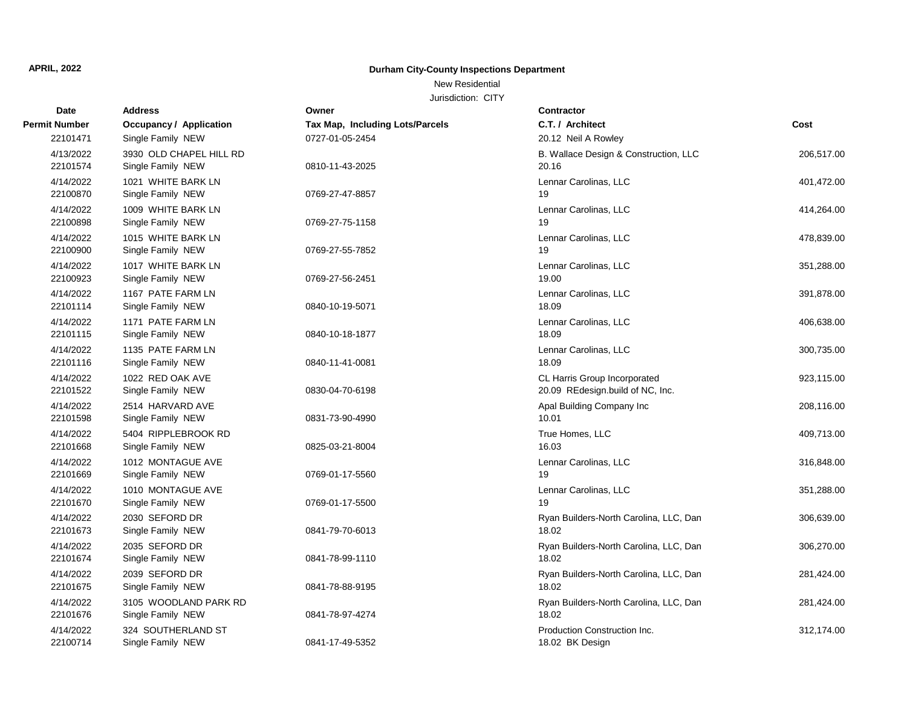### New Residential

| <b>Date</b>           | <b>Address</b>                               | Owner                           | <b>Contractor</b>                                                |            |
|-----------------------|----------------------------------------------|---------------------------------|------------------------------------------------------------------|------------|
| <b>Permit Number</b>  | <b>Occupancy / Application</b>               | Tax Map, Including Lots/Parcels | C.T. / Architect                                                 | Cost       |
| 22101471              | Single Family NEW                            | 0727-01-05-2454                 | 20.12 Neil A Rowley                                              |            |
| 4/13/2022<br>22101574 | 3930 OLD CHAPEL HILL RD<br>Single Family NEW | 0810-11-43-2025                 | B. Wallace Design & Construction, LLC<br>20.16                   | 206,517.00 |
| 4/14/2022<br>22100870 | 1021 WHITE BARK LN<br>Single Family NEW      | 0769-27-47-8857                 | Lennar Carolinas, LLC<br>19                                      | 401,472.00 |
| 4/14/2022<br>22100898 | 1009 WHITE BARK LN<br>Single Family NEW      | 0769-27-75-1158                 | Lennar Carolinas, LLC<br>19                                      | 414,264.00 |
| 4/14/2022<br>22100900 | 1015 WHITE BARK LN<br>Single Family NEW      | 0769-27-55-7852                 | Lennar Carolinas, LLC<br>19                                      | 478,839.00 |
| 4/14/2022<br>22100923 | 1017 WHITE BARK LN<br>Single Family NEW      | 0769-27-56-2451                 | Lennar Carolinas, LLC<br>19.00                                   | 351,288.00 |
| 4/14/2022<br>22101114 | 1167 PATE FARM LN<br>Single Family NEW       | 0840-10-19-5071                 | Lennar Carolinas, LLC<br>18.09                                   | 391,878.00 |
| 4/14/2022<br>22101115 | 1171 PATE FARM LN<br>Single Family NEW       | 0840-10-18-1877                 | Lennar Carolinas, LLC<br>18.09                                   | 406,638.00 |
| 4/14/2022<br>22101116 | 1135 PATE FARM LN<br>Single Family NEW       | 0840-11-41-0081                 | Lennar Carolinas, LLC<br>18.09                                   | 300,735.00 |
| 4/14/2022<br>22101522 | 1022 RED OAK AVE<br>Single Family NEW        | 0830-04-70-6198                 | CL Harris Group Incorporated<br>20.09 REdesign.build of NC, Inc. | 923,115.00 |
| 4/14/2022<br>22101598 | 2514 HARVARD AVE<br>Single Family NEW        | 0831-73-90-4990                 | Apal Building Company Inc<br>10.01                               | 208,116.00 |
| 4/14/2022<br>22101668 | 5404 RIPPLEBROOK RD<br>Single Family NEW     | 0825-03-21-8004                 | True Homes, LLC<br>16.03                                         | 409,713.00 |
| 4/14/2022<br>22101669 | 1012 MONTAGUE AVE<br>Single Family NEW       | 0769-01-17-5560                 | Lennar Carolinas, LLC<br>19                                      | 316,848.00 |
| 4/14/2022<br>22101670 | 1010 MONTAGUE AVE<br>Single Family NEW       | 0769-01-17-5500                 | Lennar Carolinas, LLC<br>19                                      | 351,288.00 |
| 4/14/2022<br>22101673 | 2030 SEFORD DR<br>Single Family NEW          | 0841-79-70-6013                 | Ryan Builders-North Carolina, LLC, Dan<br>18.02                  | 306,639.00 |
| 4/14/2022<br>22101674 | 2035 SEFORD DR<br>Single Family NEW          | 0841-78-99-1110                 | Ryan Builders-North Carolina, LLC, Dan<br>18.02                  | 306,270.00 |
| 4/14/2022<br>22101675 | 2039 SEFORD DR<br>Single Family NEW          | 0841-78-88-9195                 | Ryan Builders-North Carolina, LLC, Dan<br>18.02                  | 281,424.00 |
| 4/14/2022<br>22101676 | 3105 WOODLAND PARK RD<br>Single Family NEW   | 0841-78-97-4274                 | Ryan Builders-North Carolina, LLC, Dan<br>18.02                  | 281,424.00 |
| 4/14/2022<br>22100714 | 324 SOUTHERLAND ST<br>Single Family NEW      | 0841-17-49-5352                 | Production Construction Inc.<br>18.02 BK Design                  | 312,174.00 |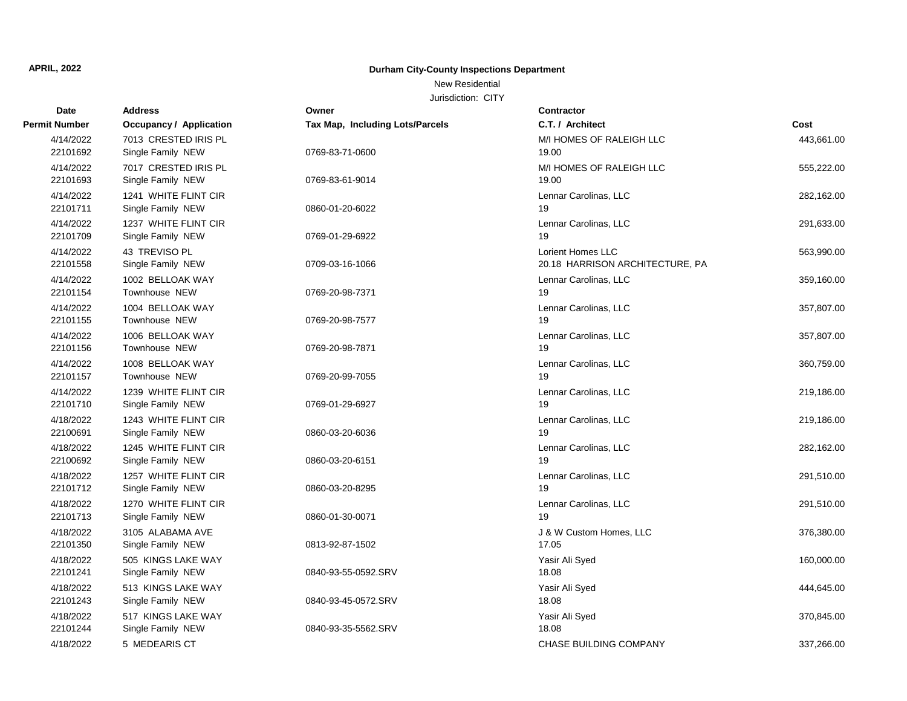### New Residential

| Date                  | <b>Address</b>                            | Owner                           | <b>Contractor</b>                                    |            |
|-----------------------|-------------------------------------------|---------------------------------|------------------------------------------------------|------------|
| <b>Permit Number</b>  | Occupancy / Application                   | Tax Map, Including Lots/Parcels | C.T. / Architect                                     | Cost       |
| 4/14/2022<br>22101692 | 7013 CRESTED IRIS PL<br>Single Family NEW | 0769-83-71-0600                 | M/I HOMES OF RALEIGH LLC<br>19.00                    | 443,661.00 |
| 4/14/2022<br>22101693 | 7017 CRESTED IRIS PL<br>Single Family NEW | 0769-83-61-9014                 | M/I HOMES OF RALEIGH LLC<br>19.00                    | 555,222.00 |
| 4/14/2022<br>22101711 | 1241 WHITE FLINT CIR<br>Single Family NEW | 0860-01-20-6022                 | Lennar Carolinas, LLC<br>19                          | 282,162.00 |
| 4/14/2022<br>22101709 | 1237 WHITE FLINT CIR<br>Single Family NEW | 0769-01-29-6922                 | Lennar Carolinas, LLC<br>19                          | 291,633.00 |
| 4/14/2022<br>22101558 | 43 TREVISO PL<br>Single Family NEW        | 0709-03-16-1066                 | Lorient Homes LLC<br>20.18 HARRISON ARCHITECTURE, PA | 563,990.00 |
| 4/14/2022<br>22101154 | 1002 BELLOAK WAY<br>Townhouse NEW         | 0769-20-98-7371                 | Lennar Carolinas, LLC<br>19                          | 359,160.00 |
| 4/14/2022<br>22101155 | 1004 BELLOAK WAY<br>Townhouse NEW         | 0769-20-98-7577                 | Lennar Carolinas, LLC<br>19                          | 357,807.00 |
| 4/14/2022<br>22101156 | 1006 BELLOAK WAY<br><b>Townhouse NEW</b>  | 0769-20-98-7871                 | Lennar Carolinas, LLC<br>19                          | 357,807.00 |
| 4/14/2022<br>22101157 | 1008 BELLOAK WAY<br>Townhouse NEW         | 0769-20-99-7055                 | Lennar Carolinas, LLC<br>19                          | 360,759.00 |
| 4/14/2022<br>22101710 | 1239 WHITE FLINT CIR<br>Single Family NEW | 0769-01-29-6927                 | Lennar Carolinas, LLC<br>19                          | 219,186.00 |
| 4/18/2022<br>22100691 | 1243 WHITE FLINT CIR<br>Single Family NEW | 0860-03-20-6036                 | Lennar Carolinas, LLC<br>19                          | 219,186.00 |
| 4/18/2022<br>22100692 | 1245 WHITE FLINT CIR<br>Single Family NEW | 0860-03-20-6151                 | Lennar Carolinas, LLC<br>19                          | 282,162.00 |
| 4/18/2022<br>22101712 | 1257 WHITE FLINT CIR<br>Single Family NEW | 0860-03-20-8295                 | Lennar Carolinas, LLC<br>19                          | 291,510.00 |
| 4/18/2022<br>22101713 | 1270 WHITE FLINT CIR<br>Single Family NEW | 0860-01-30-0071                 | Lennar Carolinas, LLC<br>19                          | 291,510.00 |
| 4/18/2022<br>22101350 | 3105 ALABAMA AVE<br>Single Family NEW     | 0813-92-87-1502                 | J & W Custom Homes, LLC<br>17.05                     | 376,380.00 |
| 4/18/2022<br>22101241 | 505 KINGS LAKE WAY<br>Single Family NEW   | 0840-93-55-0592.SRV             | Yasir Ali Syed<br>18.08                              | 160,000.00 |
| 4/18/2022<br>22101243 | 513 KINGS LAKE WAY<br>Single Family NEW   | 0840-93-45-0572.SRV             | Yasir Ali Syed<br>18.08                              | 444,645.00 |
| 4/18/2022<br>22101244 | 517 KINGS LAKE WAY<br>Single Family NEW   | 0840-93-35-5562.SRV             | Yasir Ali Syed<br>18.08                              | 370,845.00 |
| 4/18/2022             | 5 MEDEARIS CT                             |                                 | CHASE BUILDING COMPANY                               | 337,266.00 |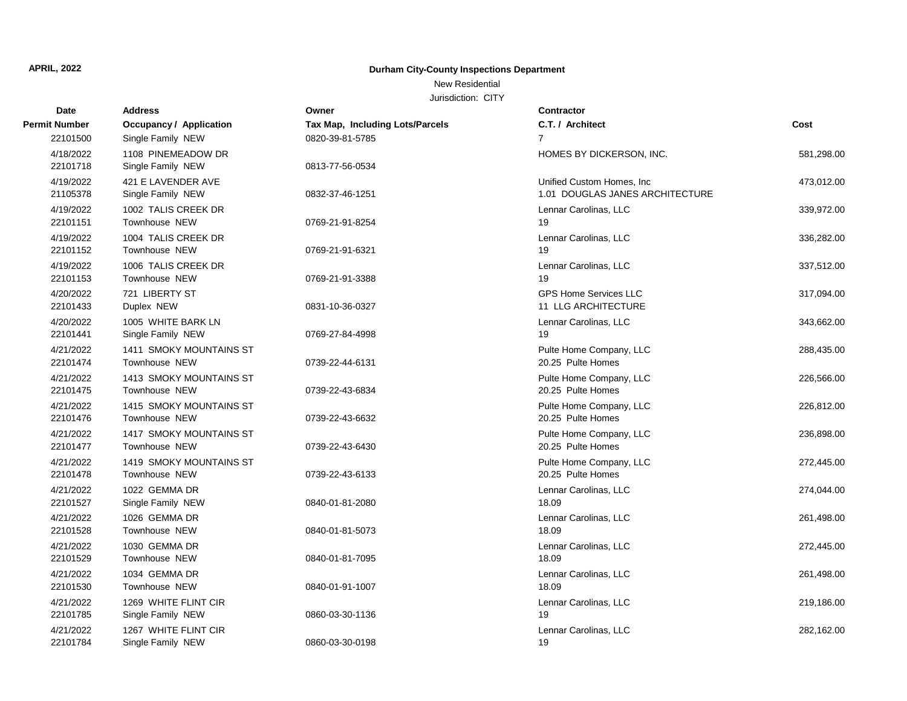### New Residential

| Date                 | <b>Address</b>                 | Owner                           | <b>Contractor</b>               |            |
|----------------------|--------------------------------|---------------------------------|---------------------------------|------------|
| <b>Permit Number</b> | <b>Occupancy / Application</b> | Tax Map, Including Lots/Parcels | C.T. / Architect                | Cost       |
| 22101500             | Single Family NEW              | 0820-39-81-5785                 | $\overline{7}$                  |            |
| 4/18/2022            | 1108 PINEMEADOW DR             |                                 | HOMES BY DICKERSON, INC.        | 581,298.00 |
| 22101718             | Single Family NEW              | 0813-77-56-0534                 |                                 |            |
| 4/19/2022            | 421 E LAVENDER AVE             |                                 | Unified Custom Homes, Inc.      | 473,012.00 |
| 21105378             | Single Family NEW              | 0832-37-46-1251                 | 1.01 DOUGLAS JANES ARCHITECTURE |            |
| 4/19/2022            | 1002 TALIS CREEK DR            |                                 | Lennar Carolinas, LLC           | 339,972.00 |
| 22101151             | Townhouse NEW                  | 0769-21-91-8254                 | 19                              |            |
| 4/19/2022            | 1004 TALIS CREEK DR            |                                 | Lennar Carolinas, LLC           | 336,282.00 |
| 22101152             | Townhouse NEW                  | 0769-21-91-6321                 | 19                              |            |
| 4/19/2022            | 1006 TALIS CREEK DR            |                                 | Lennar Carolinas, LLC           | 337,512.00 |
| 22101153             | Townhouse NEW                  | 0769-21-91-3388                 | 19                              |            |
| 4/20/2022            | 721 LIBERTY ST                 |                                 | <b>GPS Home Services LLC</b>    | 317,094.00 |
| 22101433             | Duplex NEW                     | 0831-10-36-0327                 | 11 LLG ARCHITECTURE             |            |
| 4/20/2022            | 1005 WHITE BARK LN             |                                 | Lennar Carolinas, LLC           | 343,662.00 |
| 22101441             | Single Family NEW              | 0769-27-84-4998                 | 19                              |            |
| 4/21/2022            | 1411 SMOKY MOUNTAINS ST        |                                 | Pulte Home Company, LLC         | 288,435.00 |
| 22101474             | Townhouse NEW                  | 0739-22-44-6131                 | 20.25 Pulte Homes               |            |
| 4/21/2022            | 1413 SMOKY MOUNTAINS ST        |                                 | Pulte Home Company, LLC         | 226,566.00 |
| 22101475             | Townhouse NEW                  | 0739-22-43-6834                 | 20.25 Pulte Homes               |            |
| 4/21/2022            | 1415 SMOKY MOUNTAINS ST        |                                 | Pulte Home Company, LLC         | 226,812.00 |
| 22101476             | Townhouse NEW                  | 0739-22-43-6632                 | 20.25 Pulte Homes               |            |
| 4/21/2022            | 1417 SMOKY MOUNTAINS ST        |                                 | Pulte Home Company, LLC         | 236,898.00 |
| 22101477             | Townhouse NEW                  | 0739-22-43-6430                 | 20.25 Pulte Homes               |            |
| 4/21/2022            | 1419 SMOKY MOUNTAINS ST        |                                 | Pulte Home Company, LLC         | 272,445.00 |
| 22101478             | Townhouse NEW                  | 0739-22-43-6133                 | 20.25 Pulte Homes               |            |
| 4/21/2022            | 1022 GEMMA DR                  |                                 | Lennar Carolinas, LLC           | 274,044.00 |
| 22101527             | Single Family NEW              | 0840-01-81-2080                 | 18.09                           |            |
| 4/21/2022            | 1026 GEMMA DR                  |                                 | Lennar Carolinas, LLC           | 261,498.00 |
| 22101528             | Townhouse NEW                  | 0840-01-81-5073                 | 18.09                           |            |
| 4/21/2022            | 1030 GEMMA DR                  |                                 | Lennar Carolinas, LLC           | 272,445.00 |
| 22101529             | Townhouse NEW                  | 0840-01-81-7095                 | 18.09                           |            |
| 4/21/2022            | 1034 GEMMA DR                  |                                 | Lennar Carolinas, LLC           | 261,498.00 |
| 22101530             | Townhouse NEW                  | 0840-01-91-1007                 | 18.09                           |            |
| 4/21/2022            | 1269 WHITE FLINT CIR           |                                 | Lennar Carolinas, LLC           | 219,186.00 |
| 22101785             | Single Family NEW              | 0860-03-30-1136                 | 19                              |            |
| 4/21/2022            | 1267 WHITE FLINT CIR           |                                 | Lennar Carolinas, LLC           | 282,162.00 |
| 22101784             | Single Family NEW              | 0860-03-30-0198                 | 19                              |            |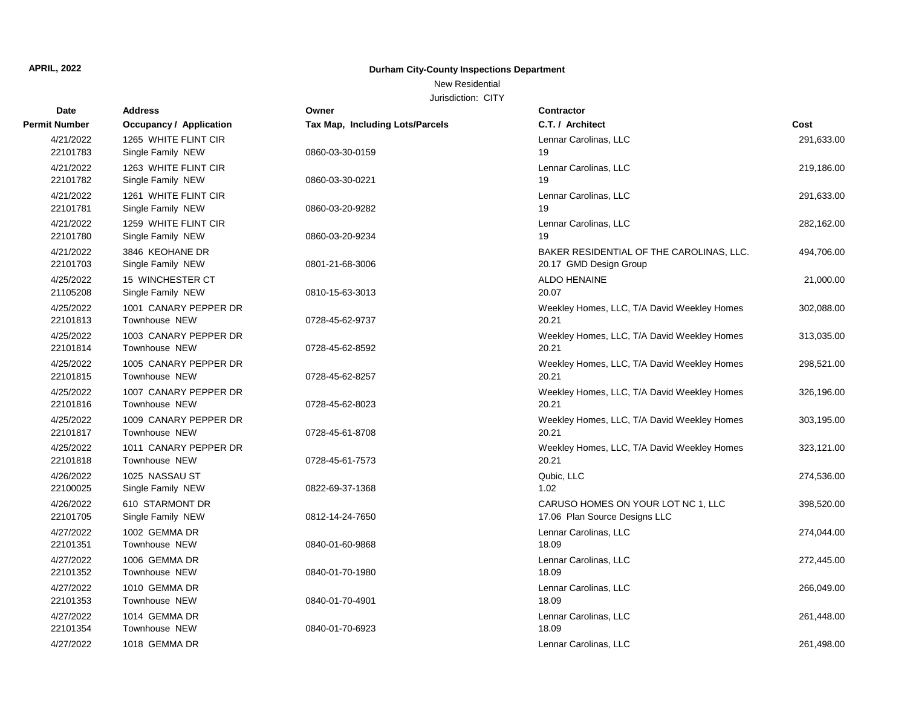New Residential

| <b>Date</b>           | <b>Address</b>                            | Owner                                  | Contractor                                                          |            |
|-----------------------|-------------------------------------------|----------------------------------------|---------------------------------------------------------------------|------------|
| <b>Permit Number</b>  | <b>Occupancy / Application</b>            | <b>Tax Map, Including Lots/Parcels</b> | C.T. / Architect                                                    | Cost       |
| 4/21/2022<br>22101783 | 1265 WHITE FLINT CIR<br>Single Family NEW | 0860-03-30-0159                        | Lennar Carolinas, LLC<br>19                                         | 291,633.00 |
| 4/21/2022<br>22101782 | 1263 WHITE FLINT CIR<br>Single Family NEW | 0860-03-30-0221                        | Lennar Carolinas, LLC<br>19                                         | 219,186.00 |
| 4/21/2022<br>22101781 | 1261 WHITE FLINT CIR<br>Single Family NEW | 0860-03-20-9282                        | Lennar Carolinas, LLC<br>19                                         | 291,633.00 |
| 4/21/2022<br>22101780 | 1259 WHITE FLINT CIR<br>Single Family NEW | 0860-03-20-9234                        | Lennar Carolinas, LLC<br>19                                         | 282,162.00 |
| 4/21/2022<br>22101703 | 3846 KEOHANE DR<br>Single Family NEW      | 0801-21-68-3006                        | BAKER RESIDENTIAL OF THE CAROLINAS, LLC.<br>20.17 GMD Design Group  | 494,706.00 |
| 4/25/2022<br>21105208 | 15 WINCHESTER CT<br>Single Family NEW     | 0810-15-63-3013                        | <b>ALDO HENAINE</b><br>20.07                                        | 21,000.00  |
| 4/25/2022<br>22101813 | 1001 CANARY PEPPER DR<br>Townhouse NEW    | 0728-45-62-9737                        | Weekley Homes, LLC, T/A David Weekley Homes<br>20.21                | 302,088.00 |
| 4/25/2022<br>22101814 | 1003 CANARY PEPPER DR<br>Townhouse NEW    | 0728-45-62-8592                        | Weekley Homes, LLC, T/A David Weekley Homes<br>20.21                | 313,035.00 |
| 4/25/2022<br>22101815 | 1005 CANARY PEPPER DR<br>Townhouse NEW    | 0728-45-62-8257                        | Weekley Homes, LLC, T/A David Weekley Homes<br>20.21                | 298,521.00 |
| 4/25/2022<br>22101816 | 1007 CANARY PEPPER DR<br>Townhouse NEW    | 0728-45-62-8023                        | Weekley Homes, LLC, T/A David Weekley Homes<br>20.21                | 326,196.00 |
| 4/25/2022<br>22101817 | 1009 CANARY PEPPER DR<br>Townhouse NEW    | 0728-45-61-8708                        | Weekley Homes, LLC, T/A David Weekley Homes<br>20.21                | 303,195.00 |
| 4/25/2022<br>22101818 | 1011 CANARY PEPPER DR<br>Townhouse NEW    | 0728-45-61-7573                        | Weekley Homes, LLC, T/A David Weekley Homes<br>20.21                | 323,121.00 |
| 4/26/2022<br>22100025 | 1025 NASSAU ST<br>Single Family NEW       | 0822-69-37-1368                        | Qubic, LLC<br>1.02                                                  | 274,536.00 |
| 4/26/2022<br>22101705 | 610 STARMONT DR<br>Single Family NEW      | 0812-14-24-7650                        | CARUSO HOMES ON YOUR LOT NC 1, LLC<br>17.06 Plan Source Designs LLC | 398,520.00 |
| 4/27/2022<br>22101351 | 1002 GEMMA DR<br>Townhouse NEW            | 0840-01-60-9868                        | Lennar Carolinas, LLC<br>18.09                                      | 274,044.00 |
| 4/27/2022<br>22101352 | 1006 GEMMA DR<br>Townhouse NEW            | 0840-01-70-1980                        | Lennar Carolinas, LLC<br>18.09                                      | 272,445.00 |
| 4/27/2022<br>22101353 | 1010 GEMMA DR<br>Townhouse NEW            | 0840-01-70-4901                        | Lennar Carolinas, LLC<br>18.09                                      | 266,049.00 |
| 4/27/2022<br>22101354 | 1014 GEMMA DR<br>Townhouse NEW            | 0840-01-70-6923                        | Lennar Carolinas, LLC<br>18.09                                      | 261,448.00 |
| 4/27/2022             | 1018 GEMMA DR                             |                                        | Lennar Carolinas, LLC                                               | 261,498.00 |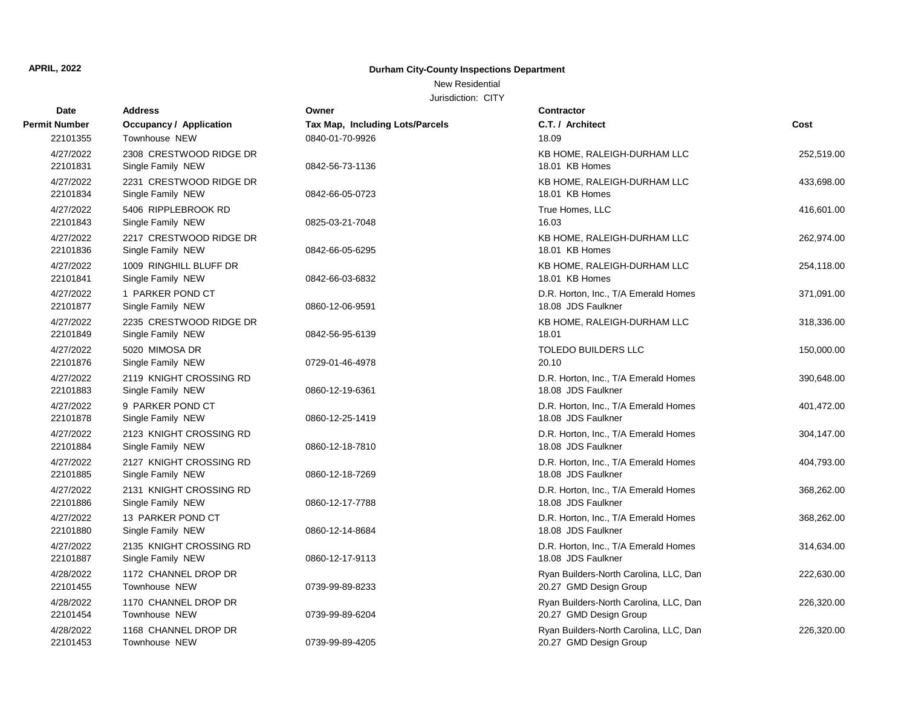### New Residential

| Date                  | <b>Address</b>                               | Owner                           | <b>Contractor</b>                                                |            |
|-----------------------|----------------------------------------------|---------------------------------|------------------------------------------------------------------|------------|
| <b>Permit Number</b>  | <b>Occupancy / Application</b>               | Tax Map, Including Lots/Parcels | C.T. / Architect                                                 | Cost       |
| 22101355              | Townhouse NEW                                | 0840-01-70-9926                 | 18.09                                                            |            |
| 4/27/2022<br>22101831 | 2308 CRESTWOOD RIDGE DR<br>Single Family NEW | 0842-56-73-1136                 | KB HOME, RALEIGH-DURHAM LLC<br>18.01 KB Homes                    | 252,519.00 |
| 4/27/2022<br>22101834 | 2231 CRESTWOOD RIDGE DR<br>Single Family NEW | 0842-66-05-0723                 | KB HOME, RALEIGH-DURHAM LLC<br>18.01 KB Homes                    | 433,698.00 |
| 4/27/2022<br>22101843 | 5406 RIPPLEBROOK RD<br>Single Family NEW     | 0825-03-21-7048                 | True Homes, LLC<br>16.03                                         | 416,601.00 |
| 4/27/2022<br>22101836 | 2217 CRESTWOOD RIDGE DR<br>Single Family NEW | 0842-66-05-6295                 | KB HOME, RALEIGH-DURHAM LLC<br>18.01 KB Homes                    | 262,974.00 |
| 4/27/2022<br>22101841 | 1009 RINGHILL BLUFF DR<br>Single Family NEW  | 0842-66-03-6832                 | KB HOME, RALEIGH-DURHAM LLC<br>18.01 KB Homes                    | 254,118.00 |
| 4/27/2022<br>22101877 | 1 PARKER POND CT<br>Single Family NEW        | 0860-12-06-9591                 | D.R. Horton, Inc., T/A Emerald Homes<br>18.08 JDS Faulkner       | 371,091.00 |
| 4/27/2022<br>22101849 | 2235 CRESTWOOD RIDGE DR<br>Single Family NEW | 0842-56-95-6139                 | KB HOME, RALEIGH-DURHAM LLC<br>18.01                             | 318,336.00 |
| 4/27/2022<br>22101876 | 5020 MIMOSA DR<br>Single Family NEW          | 0729-01-46-4978                 | <b>TOLEDO BUILDERS LLC</b><br>20.10                              | 150,000.00 |
| 4/27/2022<br>22101883 | 2119 KNIGHT CROSSING RD<br>Single Family NEW | 0860-12-19-6361                 | D.R. Horton, Inc., T/A Emerald Homes<br>18.08 JDS Faulkner       | 390,648.00 |
| 4/27/2022<br>22101878 | 9 PARKER POND CT<br>Single Family NEW        | 0860-12-25-1419                 | D.R. Horton, Inc., T/A Emerald Homes<br>18.08 JDS Faulkner       | 401,472.00 |
| 4/27/2022<br>22101884 | 2123 KNIGHT CROSSING RD<br>Single Family NEW | 0860-12-18-7810                 | D.R. Horton, Inc., T/A Emerald Homes<br>18.08 JDS Faulkner       | 304,147.00 |
| 4/27/2022<br>22101885 | 2127 KNIGHT CROSSING RD<br>Single Family NEW | 0860-12-18-7269                 | D.R. Horton, Inc., T/A Emerald Homes<br>18.08 JDS Faulkner       | 404,793.00 |
| 4/27/2022<br>22101886 | 2131 KNIGHT CROSSING RD<br>Single Family NEW | 0860-12-17-7788                 | D.R. Horton, Inc., T/A Emerald Homes<br>18.08 JDS Faulkner       | 368,262.00 |
| 4/27/2022<br>22101880 | 13 PARKER POND CT<br>Single Family NEW       | 0860-12-14-8684                 | D.R. Horton, Inc., T/A Emerald Homes<br>18.08 JDS Faulkner       | 368,262.00 |
| 4/27/2022<br>22101887 | 2135 KNIGHT CROSSING RD<br>Single Family NEW | 0860-12-17-9113                 | D.R. Horton, Inc., T/A Emerald Homes<br>18.08 JDS Faulkner       | 314,634.00 |
| 4/28/2022<br>22101455 | 1172 CHANNEL DROP DR<br>Townhouse NEW        | 0739-99-89-8233                 | Ryan Builders-North Carolina, LLC, Dan<br>20.27 GMD Design Group | 222,630.00 |
| 4/28/2022<br>22101454 | 1170 CHANNEL DROP DR<br>Townhouse NEW        | 0739-99-89-6204                 | Ryan Builders-North Carolina, LLC, Dan<br>20.27 GMD Design Group | 226,320.00 |
| 4/28/2022<br>22101453 | 1168 CHANNEL DROP DR<br>Townhouse NEW        | 0739-99-89-4205                 | Ryan Builders-North Carolina, LLC, Dan<br>20.27 GMD Design Group | 226,320.00 |